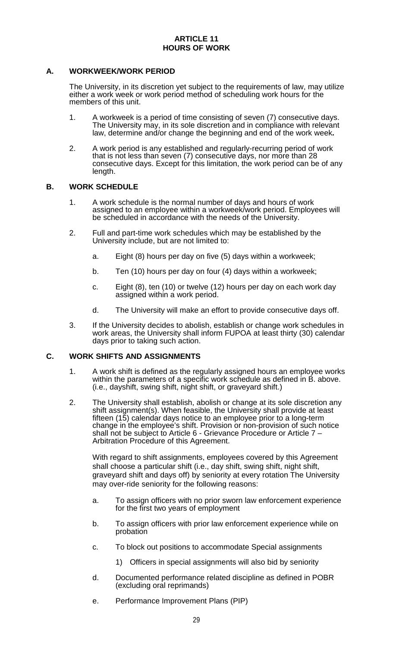#### **A. WORKWEEK/WORK PERIOD**

The University, in its discretion yet subject to the requirements of law, may utilize either a work week or work period method of scheduling work hours for the members of this unit.

- 1. A workweek is a period of time consisting of seven (7) consecutive days. The University may, in its sole discretion and in compliance with relevant law, determine and/or change the beginning and end of the work week**.**
- 2. A work period is any established and regularly-recurring period of work that is not less than seven (7) consecutive days, nor more than 28 consecutive days. Except for this limitation, the work period can be of any length.

#### **B. WORK SCHEDULE**

- 1. A work schedule is the normal number of days and hours of work assigned to an employee within a workweek/work period. Employees will be scheduled in accordance with the needs of the University.
- 2. Full and part-time work schedules which may be established by the University include, but are not limited to:
	- a. Eight (8) hours per day on five (5) days within a workweek;
	- b. Ten (10) hours per day on four (4) days within a workweek;
	- c. Eight (8), ten (10) or twelve (12) hours per day on each work day assigned within a work period.
	- d. The University will make an effort to provide consecutive days off.
- 3. If the University decides to abolish, establish or change work schedules in work areas, the University shall inform FUPOA at least thirty (30) calendar days prior to taking such action.

#### **C. WORK SHIFTS AND ASSIGNMENTS**

- 1. A work shift is defined as the regularly assigned hours an employee works within the parameters of a specific work schedule as defined in B. above. (i.e., dayshift, swing shift, night shift, or graveyard shift.)
- 2. The University shall establish, abolish or change at its sole discretion any shift assignment(s). When feasible, the University shall provide at least fifteen (15) calendar days notice to an employee prior to a long-term change in the employee's shift. Provision or non-provision of such notice shall not be subject to Article 6 - Grievance Procedure or Article 7 – Arbitration Procedure of this Agreement.

With regard to shift assignments, employees covered by this Agreement shall choose a particular shift (i.e., day shift, swing shift, night shift, graveyard shift and days off) by seniority at every rotation The University may over-ride seniority for the following reasons:

- a. To assign officers with no prior sworn law enforcement experience for the first two years of employment
- b. To assign officers with prior law enforcement experience while on probation
- c. To block out positions to accommodate Special assignments
	- 1) Officers in special assignments will also bid by seniority
- d. Documented performance related discipline as defined in POBR (excluding oral reprimands)
- e. Performance Improvement Plans (PIP)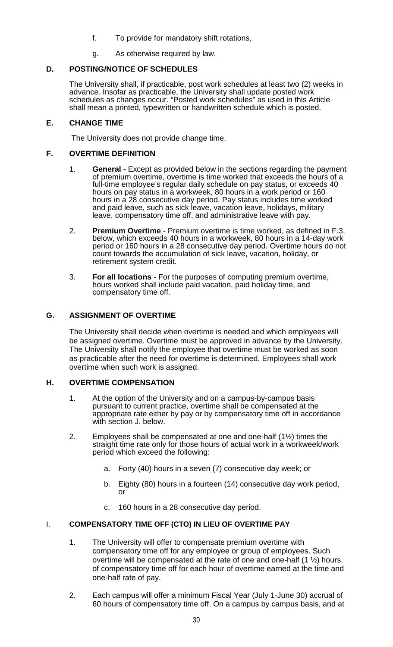- f. To provide for mandatory shift rotations,
- g. As otherwise required by law.

# **D. POSTING/NOTICE OF SCHEDULES**

The University shall, if practicable, post work schedules at least two (2) weeks in advance. Insofar as practicable, the University shall update posted work schedules as changes occur. "Posted work schedules" as used in this Article shall mean a printed, typewritten or handwritten schedule which is posted.

### **E. CHANGE TIME**

The University does not provide change time.

### **F. OVERTIME DEFINITION**

- 1. **General -** Except as provided below in the sections regarding the payment of premium overtime, overtime is time worked that exceeds the hours of a full-time employee's regular daily schedule on pay status, or exceeds 40 hours on pay status in a workweek, 80 hours in a work period or 160 hours in a 28 consecutive day period. Pay status includes time worked and paid leave, such as sick leave, vacation leave, holidays, military leave, compensatory time off, and administrative leave with pay.
- 2. **Premium Overtime** Premium overtime is time worked, as defined in F.3. below, which exceeds 40 hours in a workweek, 80 hours in a 14-day work period or 160 hours in a 28 consecutive day period. Overtime hours do not count towards the accumulation of sick leave, vacation, holiday, or retirement system credit.
- 3. **For all locations** For the purposes of computing premium overtime, hours worked shall include paid vacation, paid holiday time, and compensatory time off.

### **G. ASSIGNMENT OF OVERTIME**

The University shall decide when overtime is needed and which employees will be assigned overtime. Overtime must be approved in advance by the University. The University shall notify the employee that overtime must be worked as soon as practicable after the need for overtime is determined. Employees shall work overtime when such work is assigned.

### **H. OVERTIME COMPENSATION**

- 1. At the option of the University and on a campus-by-campus basis pursuant to current practice, overtime shall be compensated at the appropriate rate either by pay or by compensatory time off in accordance with section J. below.
- 2. Employees shall be compensated at one and one-half  $(1\frac{1}{2})$  times the straight time rate only for those hours of actual work in a workweek/work period which exceed the following:
	- a. Forty (40) hours in a seven (7) consecutive day week; or
	- b. Eighty (80) hours in a fourteen (14) consecutive day work period, or
	- c. 160 hours in a 28 consecutive day period.

### I. **COMPENSATORY TIME OFF (CTO) IN LIEU OF OVERTIME PAY**

- 1. The University will offer to compensate premium overtime with compensatory time off for any employee or group of employees. Such overtime will be compensated at the rate of one and one-half (1 ½) hours of compensatory time off for each hour of overtime earned at the time and one-half rate of pay.
- 2. Each campus will offer a minimum Fiscal Year (July 1-June 30) accrual of 60 hours of compensatory time off. On a campus by campus basis, and at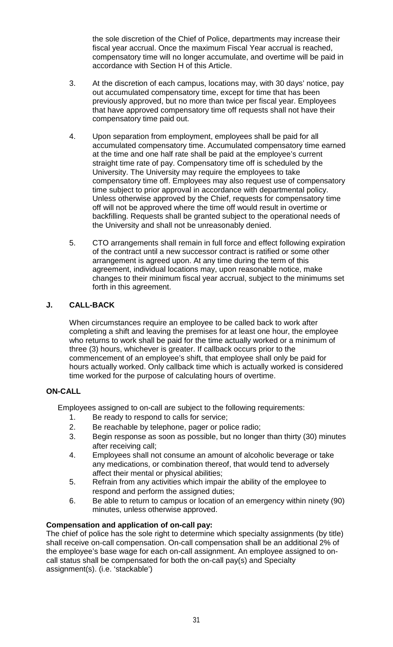the sole discretion of the Chief of Police, departments may increase their fiscal year accrual. Once the maximum Fiscal Year accrual is reached, compensatory time will no longer accumulate, and overtime will be paid in accordance with Section H of this Article.

- 3. At the discretion of each campus, locations may, with 30 days' notice, pay out accumulated compensatory time, except for time that has been previously approved, but no more than twice per fiscal year. Employees that have approved compensatory time off requests shall not have their compensatory time paid out.
- 4. Upon separation from employment, employees shall be paid for all accumulated compensatory time. Accumulated compensatory time earned at the time and one half rate shall be paid at the employee's current straight time rate of pay. Compensatory time off is scheduled by the University. The University may require the employees to take compensatory time off. Employees may also request use of compensatory time subject to prior approval in accordance with departmental policy. Unless otherwise approved by the Chief, requests for compensatory time off will not be approved where the time off would result in overtime or backfilling. Requests shall be granted subject to the operational needs of the University and shall not be unreasonably denied.
- 5. CTO arrangements shall remain in full force and effect following expiration of the contract until a new successor contract is ratified or some other arrangement is agreed upon. At any time during the term of this agreement, individual locations may, upon reasonable notice, make changes to their minimum fiscal year accrual, subject to the minimums set forth in this agreement.

# **J. CALL-BACK**

When circumstances require an employee to be called back to work after completing a shift and leaving the premises for at least one hour, the employee who returns to work shall be paid for the time actually worked or a minimum of three (3) hours, whichever is greater. If callback occurs prior to the commencement of an employee's shift, that employee shall only be paid for hours actually worked. Only callback time which is actually worked is considered time worked for the purpose of calculating hours of overtime.

### **ON-CALL**

Employees assigned to on-call are subject to the following requirements:

- 1. Be ready to respond to calls for service;
- 2. Be reachable by telephone, pager or police radio;
- 3. Begin response as soon as possible, but no longer than thirty (30) minutes after receiving call;
- 4. Employees shall not consume an amount of alcoholic beverage or take any medications, or combination thereof, that would tend to adversely affect their mental or physical abilities;
- 5. Refrain from any activities which impair the ability of the employee to respond and perform the assigned duties;
- 6. Be able to return to campus or location of an emergency within ninety (90) minutes, unless otherwise approved.

### **Compensation and application of on-call pay:**

The chief of police has the sole right to determine which specialty assignments (by title) shall receive on-call compensation. On-call compensation shall be an additional 2% of the employee's base wage for each on-call assignment. An employee assigned to oncall status shall be compensated for both the on-call pay(s) and Specialty assignment(s). (i.e. 'stackable')